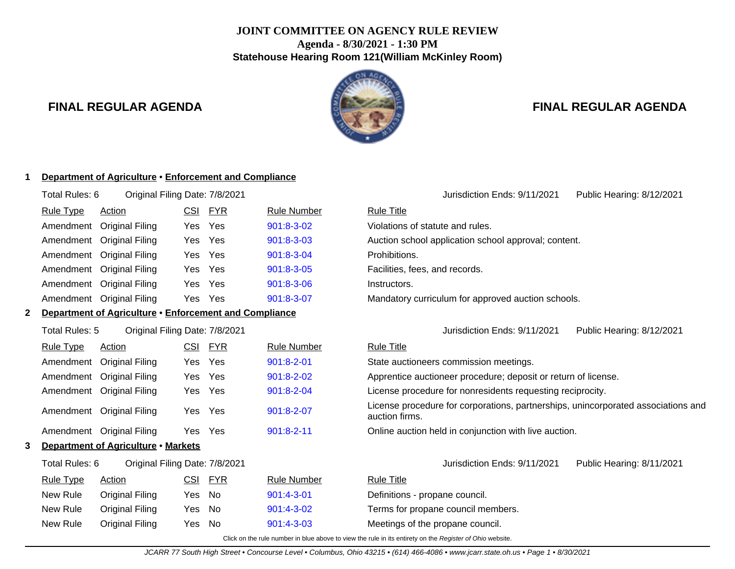# **JOINT COMMITTEE ON AGENCY RULE REVIEW Agenda - 8/30/2021 - 1:30 PM Statehouse Hearing Room 121(William McKinley Room)**



# **FINAL REGULAR AGENDA FINAL REGULAR AGENDA**

### **1 Department of Agriculture** • **Enforcement and Compliance**

| Original Filing Date: 7/8/2021<br>Total Rules: 6 |                           |            |            |                    |                   |  |  |  |
|--------------------------------------------------|---------------------------|------------|------------|--------------------|-------------------|--|--|--|
| <b>Rule Type</b>                                 | Action                    | <u>CSI</u> | <u>FYR</u> | <b>Rule Number</b> | <b>Rule Title</b> |  |  |  |
|                                                  | Amendment Original Filing | Yes Yes    |            | 901:8-3-02         | Violations o      |  |  |  |
|                                                  | Amendment Original Filing | Yes Yes    |            | $901:8-3-03$       | Auction sch       |  |  |  |
|                                                  | Amendment Original Filing | Yes Yes    |            | 901:8-3-04         | Prohibitions      |  |  |  |
|                                                  | Amendment Original Filing | Yes Yes    |            | 901:8-3-05         | Facilities, fe    |  |  |  |
|                                                  | Amendment Original Filing | Yes        | Yes        | $901:8 - 3 - 06$   | Instructors.      |  |  |  |
|                                                  | Amendment Original Filing | Yes Yes    |            | 901:8-3-07         | Mandatory         |  |  |  |
|                                                  |                           |            |            |                    |                   |  |  |  |

### **2 Department of Agriculture** • **Enforcement and Compliance**

| <b>Rule Type</b> | Action                    | CSI | <b>FYR</b> | <b>Rule Number</b> | <b>Rule Title</b>        |
|------------------|---------------------------|-----|------------|--------------------|--------------------------|
|                  | Amendment Original Filing |     | Yes Yes    | $901:8 - 2 - 01$   | State auc                |
|                  | Amendment Original Filing |     | Yes Yes    | $901:8 - 2 - 02$   | Apprentic                |
|                  | Amendment Original Filing |     | Yes Yes    | 901:8-2-04         | License p                |
|                  | Amendment Original Filing |     | Yes Yes    | 901:8-2-07         | License p<br>auction fir |
|                  | Amendment Original Filing |     | Yes Yes    | $901:8 - 2 - 11$   | Online au                |

### **3 Department of Agriculture** • **Markets**

| Total Rules: 6   | Original Filing Date: 7/8/2021 |         |                    | Jurisdiction Ends: 9/11/2021       | Public Hearing: 8/11/2021 |
|------------------|--------------------------------|---------|--------------------|------------------------------------|---------------------------|
| <b>Rule Type</b> | Action                         | CSI FYR | <b>Rule Number</b> | <b>Rule Title</b>                  |                           |
| New Rule         | Original Filing                | Yes No  | $901:4 - 3 - 01$   | Definitions - propane council.     |                           |
| New Rule         | Original Filing                | Yes No  | $901:4 - 3 - 02$   | Terms for propane council members. |                           |

Violations of statute and rules. Auction school application school approval; content. Prohibitions. Facilities, fees, and records.

Mandatory curriculum for approved auction schools.

Total Rules: 5 Original Filing Date: 7/8/2021 Jurisdiction Ends: 9/11/2021 Public Hearing: 8/12/2021

Jurisdiction Ends: 9/11/2021 Public Hearing: 8/12/2021

State auctioneers commission meetings. Apprentice auctioneer procedure; deposit or return of license. License procedure for nonresidents requesting reciprocity. License procedure for corporations, partnerships, unincorporated associations and auction firms. Online auction held in conjunction with live auction.

Definitions - propane council. New Rule Original Filing Yes No [901:4-3-03](http://www.registerofohio.state.oh.us/jsps/publicdisplayrules/processPublicDisplayRules.jsp?entered_rule_no=901:4-3-03&doWhat=GETBYRULENUM&raID=0) Meetings of the propane council.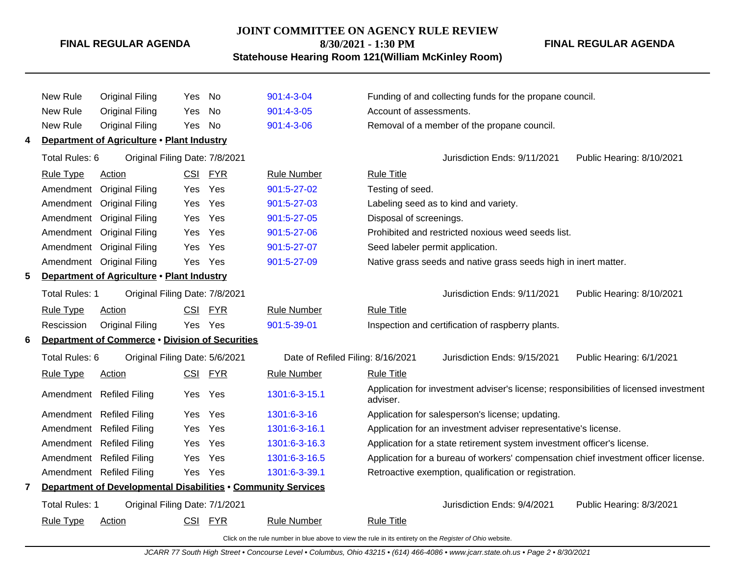### **JOINT COMMITTEE ON AGENCY RULE REVIEW**

**8/30/2021 - 1:30 PM**

**Statehouse Hearing Room 121(William McKinley Room)**

**FINAL REGULAR AGENDA**

|    | New Rule              | <b>Original Filing</b>                                        | Yes        | No         | 901:4-3-04                        | Funding of and collecting funds for the propane council.                                          |
|----|-----------------------|---------------------------------------------------------------|------------|------------|-----------------------------------|---------------------------------------------------------------------------------------------------|
|    | New Rule              | <b>Original Filing</b>                                        | <b>Yes</b> | No         | 901:4-3-05                        | Account of assessments.                                                                           |
|    | New Rule              | <b>Original Filing</b>                                        | Yes        | No         | 901:4-3-06                        | Removal of a member of the propane council.                                                       |
| 4  |                       | Department of Agriculture . Plant Industry                    |            |            |                                   |                                                                                                   |
|    | Total Rules: 6        | Original Filing Date: 7/8/2021                                |            |            |                                   | Public Hearing: 8/10/2021<br>Jurisdiction Ends: 9/11/2021                                         |
|    | <b>Rule Type</b>      | Action                                                        | <u>CSI</u> | <b>FYR</b> | <b>Rule Number</b>                | <b>Rule Title</b>                                                                                 |
|    | Amendment             | <b>Original Filing</b>                                        | Yes        | Yes        | 901:5-27-02                       | Testing of seed.                                                                                  |
|    | Amendment             | <b>Original Filing</b>                                        | Yes        | Yes        | 901:5-27-03                       | Labeling seed as to kind and variety.                                                             |
|    | Amendment             | <b>Original Filing</b>                                        | Yes        | Yes        | 901:5-27-05                       | Disposal of screenings.                                                                           |
|    | Amendment             | <b>Original Filing</b>                                        | Yes        | Yes        | 901:5-27-06                       | Prohibited and restricted noxious weed seeds list.                                                |
|    | Amendment             | <b>Original Filing</b>                                        | Yes        | Yes        | 901:5-27-07                       | Seed labeler permit application.                                                                  |
|    |                       | Amendment Original Filing                                     | Yes        | Yes        | 901:5-27-09                       | Native grass seeds and native grass seeds high in inert matter.                                   |
| 5. |                       | Department of Agriculture . Plant Industry                    |            |            |                                   |                                                                                                   |
|    | <b>Total Rules: 1</b> | Original Filing Date: 7/8/2021                                |            |            |                                   | Jurisdiction Ends: 9/11/2021<br>Public Hearing: 8/10/2021                                         |
|    | <b>Rule Type</b>      | <b>Action</b>                                                 | <u>CSI</u> | <u>FYR</u> | <b>Rule Number</b>                | <b>Rule Title</b>                                                                                 |
|    | Rescission            | <b>Original Filing</b>                                        | Yes        | Yes        | 901:5-39-01                       | Inspection and certification of raspberry plants.                                                 |
| 6  |                       | Department of Commerce . Division of Securities               |            |            |                                   |                                                                                                   |
|    | Total Rules: 6        | Original Filing Date: 5/6/2021                                |            |            | Date of Refiled Filing: 8/16/2021 | Jurisdiction Ends: 9/15/2021<br>Public Hearing: 6/1/2021                                          |
|    | <b>Rule Type</b>      | <b>Action</b>                                                 | <b>CSI</b> | <b>FYR</b> | <b>Rule Number</b>                | <b>Rule Title</b>                                                                                 |
|    |                       | Amendment Refiled Filing                                      | Yes        | Yes        | 1301:6-3-15.1                     | Application for investment adviser's license; responsibilities of licensed investment<br>adviser. |
|    |                       | Amendment Refiled Filing                                      | Yes        | Yes        | 1301:6-3-16                       | Application for salesperson's license; updating.                                                  |
|    |                       | Amendment Refiled Filing                                      | <b>Yes</b> | Yes        | 1301:6-3-16.1                     | Application for an investment adviser representative's license.                                   |
|    |                       | Amendment Refiled Filing                                      | Yes        | Yes        | 1301:6-3-16.3                     | Application for a state retirement system investment officer's license.                           |
|    |                       | Amendment Refiled Filing                                      | Yes        | Yes        | 1301:6-3-16.5                     | Application for a bureau of workers' compensation chief investment officer license.               |
|    |                       | Amendment Refiled Filing                                      | Yes        | Yes        | 1301:6-3-39.1                     | Retroactive exemption, qualification or registration.                                             |
| 7  |                       | Department of Developmental Disabilities . Community Services |            |            |                                   |                                                                                                   |
|    | Total Rules: 1        | Original Filing Date: 7/1/2021                                |            |            |                                   | Jurisdiction Ends: 9/4/2021<br>Public Hearing: 8/3/2021                                           |
|    | <b>Rule Type</b>      | <b>Action</b>                                                 | <b>CSI</b> | <u>FYR</u> | Rule Number                       | <b>Rule Title</b>                                                                                 |
|    |                       |                                                               |            |            |                                   |                                                                                                   |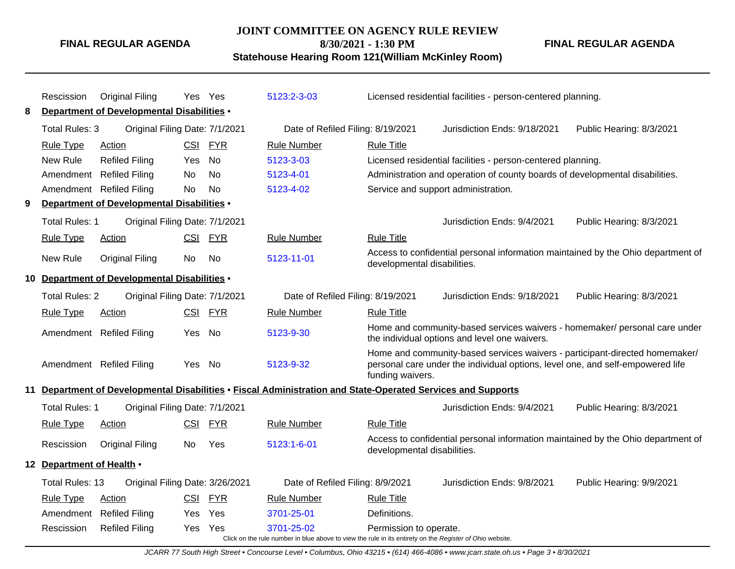### **JOINT COMMITTEE ON AGENCY RULE REVIEW**

**8/30/2021 - 1:30 PM**

**Statehouse Hearing Room 121(William McKinley Room)**

**FINAL REGULAR AGENDA**

|    | Rescission                                 | <b>Original Filing</b>                            |            | Yes Yes    | 5123:2-3-03                                                                                               |                             | Licensed residential facilities - person-centered planning.                                                                                                   |                          |  |
|----|--------------------------------------------|---------------------------------------------------|------------|------------|-----------------------------------------------------------------------------------------------------------|-----------------------------|---------------------------------------------------------------------------------------------------------------------------------------------------------------|--------------------------|--|
| 8  |                                            | <b>Department of Developmental Disabilities •</b> |            |            |                                                                                                           |                             |                                                                                                                                                               |                          |  |
|    | Total Rules: 3                             | Original Filing Date: 7/1/2021                    |            |            | Date of Refiled Filing: 8/19/2021                                                                         |                             | Jurisdiction Ends: 9/18/2021                                                                                                                                  | Public Hearing: 8/3/2021 |  |
|    | <b>Rule Type</b>                           | Action                                            |            | CSI FYR    | <b>Rule Number</b>                                                                                        | <b>Rule Title</b>           |                                                                                                                                                               |                          |  |
|    | New Rule                                   | <b>Refiled Filing</b>                             | Yes        | No         | 5123-3-03                                                                                                 |                             | Licensed residential facilities - person-centered planning.                                                                                                   |                          |  |
|    | Amendment                                  | <b>Refiled Filing</b>                             | No         | <b>No</b>  | 5123-4-01                                                                                                 |                             | Administration and operation of county boards of developmental disabilities.                                                                                  |                          |  |
|    | Amendment                                  | <b>Refiled Filing</b>                             | No         | <b>No</b>  | 5123-4-02                                                                                                 |                             | Service and support administration.                                                                                                                           |                          |  |
| 9  |                                            | Department of Developmental Disabilities .        |            |            |                                                                                                           |                             |                                                                                                                                                               |                          |  |
|    | <b>Total Rules: 1</b>                      | Original Filing Date: 7/1/2021                    |            |            |                                                                                                           |                             | Jurisdiction Ends: 9/4/2021                                                                                                                                   | Public Hearing: 8/3/2021 |  |
|    | <b>Rule Type</b>                           | Action                                            | CSI        | <b>FYR</b> | <b>Rule Number</b>                                                                                        | <b>Rule Title</b>           |                                                                                                                                                               |                          |  |
|    | <b>New Rule</b>                            | <b>Original Filing</b>                            | No         | No         | 5123-11-01                                                                                                | developmental disabilities. | Access to confidential personal information maintained by the Ohio department of                                                                              |                          |  |
| 10 | Department of Developmental Disabilities . |                                                   |            |            |                                                                                                           |                             |                                                                                                                                                               |                          |  |
|    | <b>Total Rules: 2</b>                      | Original Filing Date: 7/1/2021                    |            |            | Date of Refiled Filing: 8/19/2021                                                                         |                             | Jurisdiction Ends: 9/18/2021                                                                                                                                  | Public Hearing: 8/3/2021 |  |
|    | <b>Rule Type</b>                           | <b>Action</b>                                     | CSI        | <b>FYR</b> | <b>Rule Number</b>                                                                                        | <b>Rule Title</b>           |                                                                                                                                                               |                          |  |
|    |                                            | Amendment Refiled Filing                          | Yes.       | No         | 5123-9-30                                                                                                 |                             | Home and community-based services waivers - homemaker/ personal care under<br>the individual options and level one waivers.                                   |                          |  |
|    |                                            | Amendment Refiled Filing                          | Yes No     |            | 5123-9-32                                                                                                 | funding waivers.            | Home and community-based services waivers - participant-directed homemaker/<br>personal care under the individual options, level one, and self-empowered life |                          |  |
|    |                                            |                                                   |            |            | Department of Developmental Disabilities • Fiscal Administration and State-Operated Services and Supports |                             |                                                                                                                                                               |                          |  |
|    | Total Rules: 1                             | Original Filing Date: 7/1/2021                    |            |            |                                                                                                           |                             | Jurisdiction Ends: 9/4/2021                                                                                                                                   | Public Hearing: 8/3/2021 |  |
|    | <b>Rule Type</b>                           | Action                                            | <b>CSI</b> | <b>FYR</b> | <b>Rule Number</b>                                                                                        | <b>Rule Title</b>           |                                                                                                                                                               |                          |  |
|    | Rescission                                 | <b>Original Filing</b>                            | No.        | Yes        | $5123:1 - 6 - 01$                                                                                         | developmental disabilities. | Access to confidential personal information maintained by the Ohio department of                                                                              |                          |  |
|    | 12 Department of Health .                  |                                                   |            |            |                                                                                                           |                             |                                                                                                                                                               |                          |  |
|    | Total Rules: 13                            | Original Filing Date: 3/26/2021                   |            |            | Date of Refiled Filing: 8/9/2021                                                                          |                             | Jurisdiction Ends: 9/8/2021                                                                                                                                   | Public Hearing: 9/9/2021 |  |
|    | <b>Rule Type</b>                           | Action                                            | <b>CSI</b> | <b>FYR</b> | <b>Rule Number</b>                                                                                        | <b>Rule Title</b>           |                                                                                                                                                               |                          |  |
|    | Amendment                                  | <b>Refiled Filing</b>                             | Yes        | Yes        | 3701-25-01                                                                                                | Definitions.                |                                                                                                                                                               |                          |  |
|    | Rescission                                 | <b>Refiled Filing</b>                             |            | Yes Yes    | 3701-25-02                                                                                                | Permission to operate.      |                                                                                                                                                               |                          |  |
|    |                                            |                                                   |            |            | Click on the rule number in blue above to view the rule in its entirety on the Register of Ohio website.  |                             |                                                                                                                                                               |                          |  |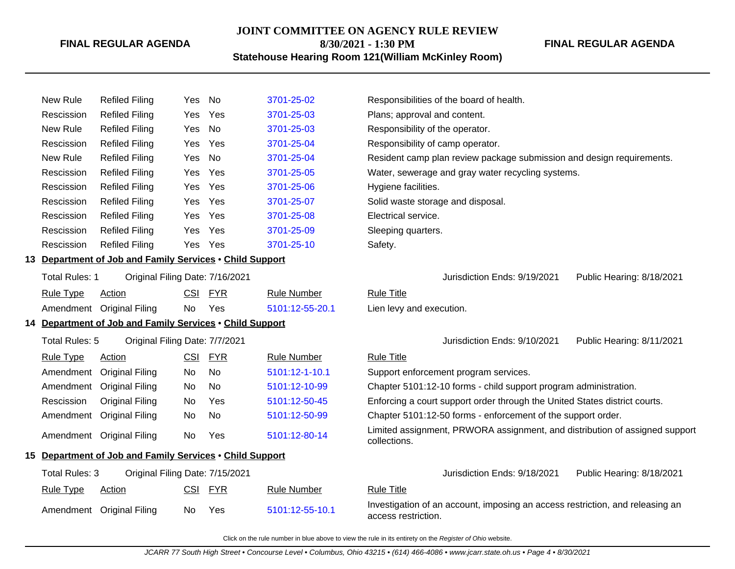### **JOINT COMMITTEE ON AGENCY RULE REVIEW**

**FINAL REGULAR AGENDA**

**8/30/2021 - 1:30 PM Statehouse Hearing Room 121(William McKinley Room)**

| New Rule   | Refiled Filing        | Yes No |         | 3701-25-02 | Responsibilities of the board of health.          |
|------------|-----------------------|--------|---------|------------|---------------------------------------------------|
| Rescission | Refiled Filing        |        | Yes Yes | 3701-25-03 | Plans; approval and content.                      |
| New Rule   | <b>Refiled Filing</b> | Yes No |         | 3701-25-03 | Responsibility of the operator.                   |
| Rescission | Refiled Filing        |        | Yes Yes | 3701-25-04 | Responsibility of camp operator.                  |
| New Rule   | Refiled Filing        | Yes No |         | 3701-25-04 | Resident camp plan review package submission and  |
| Rescission | Refiled Filing        |        | Yes Yes | 3701-25-05 | Water, sewerage and gray water recycling systems. |
| Rescission | Refiled Filing        |        | Yes Yes | 3701-25-06 | Hygiene facilities.                               |
| Rescission | Refiled Filing        |        | Yes Yes | 3701-25-07 | Solid waste storage and disposal.                 |
| Rescission | Refiled Filing        |        | Yes Yes | 3701-25-08 | Electrical service.                               |
| Rescission | Refiled Filing        |        | Yes Yes | 3701-25-09 | Sleeping quarters.                                |
| Rescission | Refiled Filing        |        | Yes Yes | 3701-25-10 | Safety.                                           |
|            |                       |        |         |            |                                                   |

## **13 Department of Job and Family Services** • **Child Support**

| Total Rules: 1   | Original Filing Date: 7/16/2021 |     |         |                 |                   |
|------------------|---------------------------------|-----|---------|-----------------|-------------------|
| <u>Rule Type</u> | Action                          |     | CSI FYR | Rule Number     | <b>Rule Title</b> |
|                  | Amendment Original Filing       | No. | Yes     | 5101:12-55-20.1 | Lien levy         |

### **14 Department of Job and Family Services** • **Child Support**

| <b>Rule Type</b> | Action                    | CSI | <b>FYR</b> | <b>Rule Number</b> | <b>Rule Title</b>                |
|------------------|---------------------------|-----|------------|--------------------|----------------------------------|
|                  | Amendment Original Filing | No. | No.        | 5101:12-1-10.1     | Support e                        |
|                  | Amendment Original Filing | No. | No.        | 5101:12-10-99      | Chapter <sub>5</sub>             |
| Rescission       | <b>Original Filing</b>    | No. | Yes        | 5101:12-50-45      | Enforcing                        |
|                  | Amendment Original Filing | No. | No.        | 5101:12-50-99      | Chapter <sub>5</sub>             |
|                  | Amendment Original Filing | No  | Yes        | 5101:12-80-14      | Limited as<br>المرجلة والمسالحات |

### **15 Department of Job and Family Services** • **Child Support**

| New Rule   | Refiled Filing                                            | Yes No |         | 3701-25-02 | Responsibilities of the board of health.                              |
|------------|-----------------------------------------------------------|--------|---------|------------|-----------------------------------------------------------------------|
| Rescission | Refiled Filing                                            | Yes    | Yes     | 3701-25-03 | Plans; approval and content.                                          |
| New Rule   | <b>Refiled Filing</b>                                     | Yes    | No      | 3701-25-03 | Responsibility of the operator.                                       |
| Rescission | Refiled Filing                                            | Yes    | Yes     | 3701-25-04 | Responsibility of camp operator.                                      |
| New Rule   | <b>Refiled Filing</b>                                     | Yes No |         | 3701-25-04 | Resident camp plan review package submission and design requirements. |
| Rescission | <b>Refiled Filing</b>                                     | Yes    | Yes     | 3701-25-05 | Water, sewerage and gray water recycling systems.                     |
| Rescission | Refiled Filing                                            |        | Yes Yes | 3701-25-06 | Hygiene facilities.                                                   |
| Rescission | <b>Refiled Filing</b>                                     | Yes    | Yes     | 3701-25-07 | Solid waste storage and disposal.                                     |
| Rescission | Refiled Filing                                            | Yes    | Yes     | 3701-25-08 | Electrical service.                                                   |
| Rescission | Refiled Filing                                            | Yes    | Yes     | 3701-25-09 | Sleeping quarters.                                                    |
| Rescission | <b>Refiled Filing</b>                                     | Yes    | Yes     | 3701-25-10 | Safety.                                                               |
|            | Denoniment of Johnson Fouilly Considers of Child Crimmont |        |         |            |                                                                       |

Jurisdiction Ends: 9/19/2021 Public Hearing: 8/18/2021

Lien levy and execution.

Total Rules: 5 Original Filing Date: 7/7/2021 **Matches 2012 12:30 According 2012** Jurisdiction Ends: 9/10/2021 Public Hearing: 8/11/2021

Support enforcement program services.

Chapter 5101:12-10 forms - child support program administration.

Enforcing a court support order through the United States district courts.

Chapter 5101:12-50 forms - enforcement of the support order.

Limited assignment, PRWORA assignment, and distribution of assigned support collections.

### Total Rules: 3 Original Filing Date: 7/15/2021 **Contact Contact Act Contact Contact Contact Contact Public Hearing: 8/18/2021** Public Hearing: 8/18/2021

### Rule Type Action **CSI FYR** Rule Number Rule Title

Amendment Original Filing No Yes [5101:12-55-10.1](http://www.registerofohio.state.oh.us/jsps/publicdisplayrules/processPublicDisplayRules.jsp?entered_rule_no=5101:12-55-10.1&doWhat=GETBYRULENUM&raID=0) Investigation of an account, imposing an access restriction, and releasing an access restriction.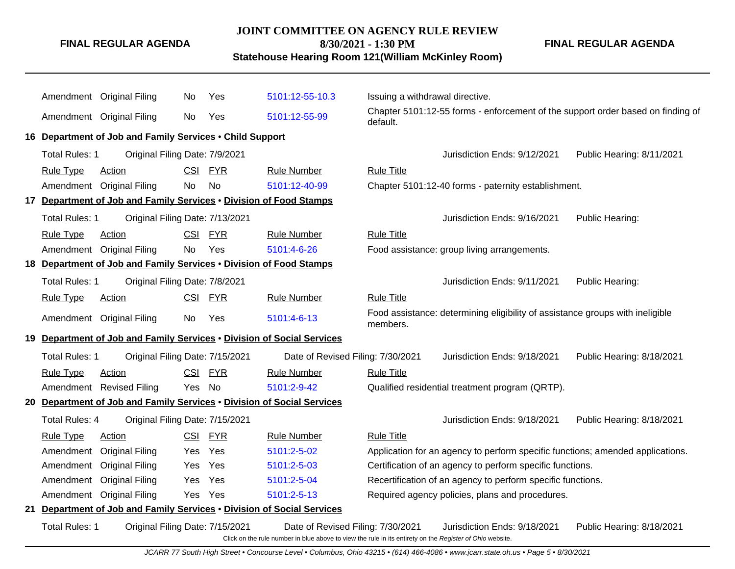### **JOINT COMMITTEE ON AGENCY RULE REVIEW**

**8/30/2021 - 1:30 PM**

**Statehouse Hearing Room 121(William McKinley Room)**

**FINAL REGULAR AGENDA**

|    |                                                                    | Amendment Original Filing                                              | No.        | Yes        | 5101:12-55-10.3                                                                                                                               | Issuing a withdrawal directive. |                                                                                 |                           |  |
|----|--------------------------------------------------------------------|------------------------------------------------------------------------|------------|------------|-----------------------------------------------------------------------------------------------------------------------------------------------|---------------------------------|---------------------------------------------------------------------------------|---------------------------|--|
|    |                                                                    | Amendment Original Filing                                              | No.        | Yes        | 5101:12-55-99                                                                                                                                 | default.                        | Chapter 5101:12-55 forms - enforcement of the support order based on finding of |                           |  |
|    |                                                                    | 16 Department of Job and Family Services . Child Support               |            |            |                                                                                                                                               |                                 |                                                                                 |                           |  |
|    | Total Rules: 1                                                     | Original Filing Date: 7/9/2021                                         |            |            |                                                                                                                                               |                                 | Jurisdiction Ends: 9/12/2021                                                    | Public Hearing: 8/11/2021 |  |
|    | <b>Rule Type</b>                                                   | <b>Action</b>                                                          | CSI        | <b>FYR</b> | <b>Rule Number</b>                                                                                                                            | <b>Rule Title</b>               |                                                                                 |                           |  |
|    |                                                                    | Amendment Original Filing                                              | No.        | No         | 5101:12-40-99                                                                                                                                 |                                 | Chapter 5101:12-40 forms - paternity establishment.                             |                           |  |
|    |                                                                    | 17 Department of Job and Family Services . Division of Food Stamps     |            |            |                                                                                                                                               |                                 |                                                                                 |                           |  |
|    | Total Rules: 1                                                     | Original Filing Date: 7/13/2021                                        |            |            |                                                                                                                                               |                                 | Jurisdiction Ends: 9/16/2021                                                    | Public Hearing:           |  |
|    | <b>Rule Type</b>                                                   | Action                                                                 | <b>CSI</b> | <b>FYR</b> | <b>Rule Number</b>                                                                                                                            | <b>Rule Title</b>               |                                                                                 |                           |  |
|    |                                                                    | Amendment Original Filing                                              | No.        | Yes        | 5101:4-6-26                                                                                                                                   |                                 | Food assistance: group living arrangements.                                     |                           |  |
|    | 18 Department of Job and Family Services . Division of Food Stamps |                                                                        |            |            |                                                                                                                                               |                                 |                                                                                 |                           |  |
|    | Total Rules: 1                                                     | Original Filing Date: 7/8/2021                                         |            |            |                                                                                                                                               |                                 | Jurisdiction Ends: 9/11/2021                                                    | Public Hearing:           |  |
|    | <b>Rule Type</b>                                                   | Action                                                                 |            | CSI FYR    | <b>Rule Number</b>                                                                                                                            | <b>Rule Title</b>               |                                                                                 |                           |  |
|    |                                                                    | Amendment Original Filing                                              | No         | Yes        | 5101:4-6-13                                                                                                                                   | members.                        | Food assistance: determining eligibility of assistance groups with ineligible   |                           |  |
|    |                                                                    | 19 Department of Job and Family Services . Division of Social Services |            |            |                                                                                                                                               |                                 |                                                                                 |                           |  |
|    | Total Rules: 1                                                     | Original Filing Date: 7/15/2021                                        |            |            | Date of Revised Filing: 7/30/2021                                                                                                             |                                 | Jurisdiction Ends: 9/18/2021                                                    | Public Hearing: 8/18/2021 |  |
|    | <b>Rule Type</b>                                                   | Action                                                                 |            | CSI FYR    | <b>Rule Number</b>                                                                                                                            | <b>Rule Title</b>               |                                                                                 |                           |  |
|    |                                                                    | Amendment Revised Filing                                               | Yes No     |            | 5101:2-9-42                                                                                                                                   |                                 | Qualified residential treatment program (QRTP).                                 |                           |  |
|    |                                                                    | 20 Department of Job and Family Services . Division of Social Services |            |            |                                                                                                                                               |                                 |                                                                                 |                           |  |
|    | <b>Total Rules: 4</b>                                              | Original Filing Date: 7/15/2021                                        |            |            |                                                                                                                                               |                                 | Jurisdiction Ends: 9/18/2021                                                    | Public Hearing: 8/18/2021 |  |
|    | <b>Rule Type</b>                                                   | <b>Action</b>                                                          |            | CSI FYR    | <b>Rule Number</b>                                                                                                                            | <b>Rule Title</b>               |                                                                                 |                           |  |
|    | Amendment                                                          | <b>Original Filing</b>                                                 | Yes        | Yes        | 5101:2-5-02                                                                                                                                   |                                 | Application for an agency to perform specific functions; amended applications.  |                           |  |
|    | Amendment                                                          | <b>Original Filing</b>                                                 | Yes.       | Yes        | 5101:2-5-03                                                                                                                                   |                                 | Certification of an agency to perform specific functions.                       |                           |  |
|    | Amendment                                                          | <b>Original Filing</b>                                                 | Yes        | Yes        | 5101:2-5-04                                                                                                                                   |                                 | Recertification of an agency to perform specific functions.                     |                           |  |
|    |                                                                    | Amendment Original Filing                                              | Yes Yes    |            | 5101:2-5-13                                                                                                                                   |                                 | Required agency policies, plans and procedures.                                 |                           |  |
| 21 |                                                                    | Department of Job and Family Services . Division of Social Services    |            |            |                                                                                                                                               |                                 |                                                                                 |                           |  |
|    | <b>Total Rules: 1</b>                                              | Original Filing Date: 7/15/2021                                        |            |            | Date of Revised Filing: 7/30/2021<br>Click on the rule number in blue above to view the rule in its entirety on the Register of Ohio website. |                                 | Jurisdiction Ends: 9/18/2021                                                    | Public Hearing: 8/18/2021 |  |

JCARR 77 South High Street • Concourse Level • Columbus, Ohio 43215 • (614) 466-4086 • www.jcarr.state.oh.us • Page 5 • 8/30/2021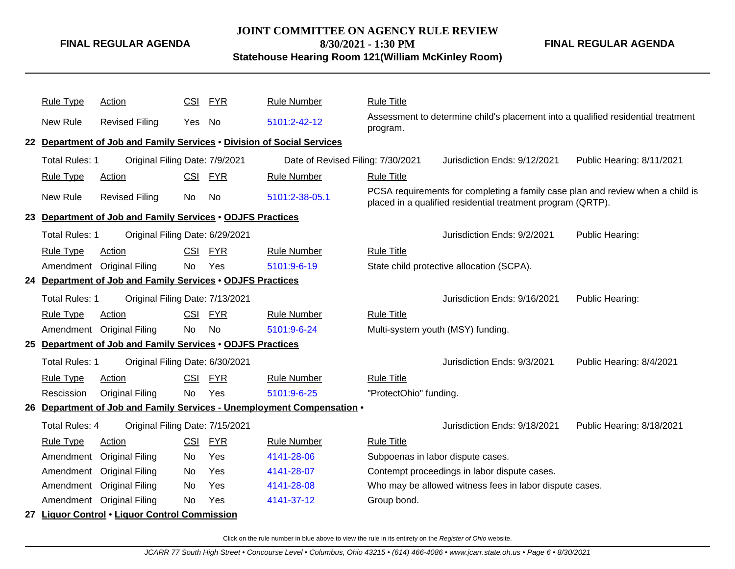# **JOINT COMMITTEE ON AGENCY RULE REVIEW**

**8/30/2021 - 1:30 PM**

**Statehouse Hearing Room 121(William McKinley Room)**

**FINAL REGULAR AGENDA**

| <b>Rule Type</b>      | Action                                                     | CSI        | <u>FYR</u> | <b>Rule Number</b>                                                     | <b>Rule Title</b>      |                                                                                                                                               |                           |
|-----------------------|------------------------------------------------------------|------------|------------|------------------------------------------------------------------------|------------------------|-----------------------------------------------------------------------------------------------------------------------------------------------|---------------------------|
|                       |                                                            |            |            |                                                                        |                        | Assessment to determine child's placement into a qualified residential treatment                                                              |                           |
| New Rule              | <b>Revised Filing</b>                                      | Yes No     |            | 5101:2-42-12                                                           | program.               |                                                                                                                                               |                           |
|                       |                                                            |            |            | 22 Department of Job and Family Services . Division of Social Services |                        |                                                                                                                                               |                           |
| Total Rules: 1        | Original Filing Date: 7/9/2021                             |            |            | Date of Revised Filing: 7/30/2021                                      |                        | Jurisdiction Ends: 9/12/2021                                                                                                                  | Public Hearing: 8/11/2021 |
| <b>Rule Type</b>      | <b>Action</b>                                              | CSI        | <b>FYR</b> | <b>Rule Number</b>                                                     | <b>Rule Title</b>      |                                                                                                                                               |                           |
| New Rule              | <b>Revised Filing</b>                                      | <b>No</b>  | No         | 5101:2-38-05.1                                                         |                        | PCSA requirements for completing a family case plan and review when a child is<br>placed in a qualified residential treatment program (QRTP). |                           |
|                       | 23 Department of Job and Family Services . ODJFS Practices |            |            |                                                                        |                        |                                                                                                                                               |                           |
| <b>Total Rules: 1</b> | Original Filing Date: 6/29/2021                            |            |            |                                                                        |                        | Jurisdiction Ends: 9/2/2021                                                                                                                   | Public Hearing:           |
| <b>Rule Type</b>      | Action                                                     | CSI        | <u>FYR</u> | <b>Rule Number</b>                                                     | <b>Rule Title</b>      |                                                                                                                                               |                           |
| Amendment             | <b>Original Filing</b>                                     | No         | Yes        | 5101:9-6-19                                                            |                        | State child protective allocation (SCPA).                                                                                                     |                           |
|                       | 24 Department of Job and Family Services . ODJFS Practices |            |            |                                                                        |                        |                                                                                                                                               |                           |
| Total Rules: 1        | Original Filing Date: 7/13/2021                            |            |            |                                                                        |                        | Jurisdiction Ends: 9/16/2021                                                                                                                  | Public Hearing:           |
| <b>Rule Type</b>      | Action                                                     | <b>CSI</b> | <b>FYR</b> | <b>Rule Number</b>                                                     | <b>Rule Title</b>      |                                                                                                                                               |                           |
| Amendment             | <b>Original Filing</b>                                     | No         | No         | 5101:9-6-24                                                            |                        | Multi-system youth (MSY) funding.                                                                                                             |                           |
|                       | 25 Department of Job and Family Services . ODJFS Practices |            |            |                                                                        |                        |                                                                                                                                               |                           |
| Total Rules: 1        | Original Filing Date: 6/30/2021                            |            |            |                                                                        |                        | Jurisdiction Ends: 9/3/2021                                                                                                                   | Public Hearing: 8/4/2021  |
| <b>Rule Type</b>      | <b>Action</b>                                              | <b>CSI</b> | <b>FYR</b> | <b>Rule Number</b>                                                     | <b>Rule Title</b>      |                                                                                                                                               |                           |
| Rescission            | <b>Original Filing</b>                                     | <b>No</b>  | Yes        | 5101:9-6-25                                                            | "ProtectOhio" funding. |                                                                                                                                               |                           |
|                       |                                                            |            |            | 26 Department of Job and Family Services - Unemployment Compensation . |                        |                                                                                                                                               |                           |
| <b>Total Rules: 4</b> | Original Filing Date: 7/15/2021                            |            |            |                                                                        |                        | Jurisdiction Ends: 9/18/2021                                                                                                                  | Public Hearing: 8/18/2021 |
| <b>Rule Type</b>      | Action                                                     | CSI        | <u>FYR</u> | <b>Rule Number</b>                                                     | <b>Rule Title</b>      |                                                                                                                                               |                           |
| Amendment             | <b>Original Filing</b>                                     | No         | Yes        | 4141-28-06                                                             |                        | Subpoenas in labor dispute cases.                                                                                                             |                           |
| Amendment             | <b>Original Filing</b>                                     | No         | Yes        | 4141-28-07                                                             |                        | Contempt proceedings in labor dispute cases.                                                                                                  |                           |
| Amendment             | <b>Original Filing</b>                                     | No         | Yes        | 4141-28-08                                                             |                        | Who may be allowed witness fees in labor dispute cases.                                                                                       |                           |
| Amendment             | <b>Original Filing</b>                                     | <b>No</b>  | Yes        | 4141-37-12                                                             | Group bond.            |                                                                                                                                               |                           |
|                       | 27 Liquor Control . Liquor Control Commission              |            |            |                                                                        |                        |                                                                                                                                               |                           |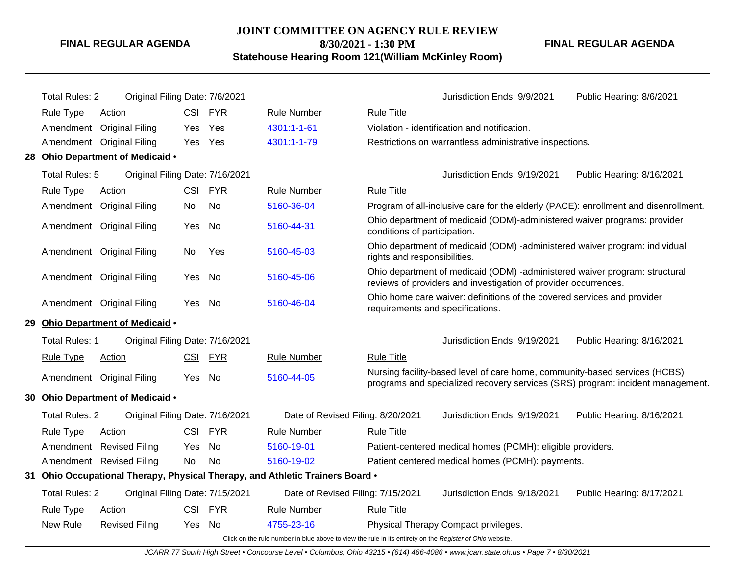# **JOINT COMMITTEE ON AGENCY RULE REVIEW**

**8/30/2021 - 1:30 PM**

**Statehouse Hearing Room 121(William McKinley Room)**

**FINAL REGULAR AGENDA**

| <b>Total Rules: 2</b> | Original Filing Date: 7/6/2021   |            |            |                                                                               | Jurisdiction Ends: 9/9/2021<br>Public Hearing: 8/6/2021                                                                                                      |
|-----------------------|----------------------------------|------------|------------|-------------------------------------------------------------------------------|--------------------------------------------------------------------------------------------------------------------------------------------------------------|
| <b>Rule Type</b>      | Action                           |            | CSI FYR    | <b>Rule Number</b>                                                            | <b>Rule Title</b>                                                                                                                                            |
|                       | Amendment Original Filing        | Yes        | Yes        | 4301:1-1-61                                                                   | Violation - identification and notification.                                                                                                                 |
|                       | Amendment Original Filing        | Yes        | Yes        | 4301:1-1-79                                                                   | Restrictions on warrantless administrative inspections.                                                                                                      |
|                       | 28 Ohio Department of Medicaid . |            |            |                                                                               |                                                                                                                                                              |
| Total Rules: 5        | Original Filing Date: 7/16/2021  |            |            |                                                                               | Jurisdiction Ends: 9/19/2021<br>Public Hearing: 8/16/2021                                                                                                    |
| <b>Rule Type</b>      | Action                           | <b>CSI</b> | <b>FYR</b> | <b>Rule Number</b>                                                            | <b>Rule Title</b>                                                                                                                                            |
|                       | Amendment Original Filing        | No.        | No         | 5160-36-04                                                                    | Program of all-inclusive care for the elderly (PACE): enrollment and disenrollment.                                                                          |
|                       | Amendment Original Filing        | Yes        | No         | 5160-44-31                                                                    | Ohio department of medicaid (ODM)-administered waiver programs: provider<br>conditions of participation.                                                     |
|                       | Amendment Original Filing        | No         | Yes        | 5160-45-03                                                                    | Ohio department of medicaid (ODM) -administered waiver program: individual<br>rights and responsibilities.                                                   |
|                       | Amendment Original Filing        | Yes        | No         | 5160-45-06                                                                    | Ohio department of medicaid (ODM) -administered waiver program: structural<br>reviews of providers and investigation of provider occurrences.                |
|                       | Amendment Original Filing        | Yes No     |            | 5160-46-04                                                                    | Ohio home care waiver: definitions of the covered services and provider<br>requirements and specifications.                                                  |
|                       | 29 Ohio Department of Medicaid . |            |            |                                                                               |                                                                                                                                                              |
| <b>Total Rules: 1</b> | Original Filing Date: 7/16/2021  |            |            |                                                                               | Jurisdiction Ends: 9/19/2021<br>Public Hearing: 8/16/2021                                                                                                    |
| <b>Rule Type</b>      | <b>Action</b>                    | <u>CSI</u> | <b>FYR</b> | <b>Rule Number</b>                                                            | <b>Rule Title</b>                                                                                                                                            |
|                       | Amendment Original Filing        | Yes        | No         | 5160-44-05                                                                    | Nursing facility-based level of care home, community-based services (HCBS)<br>programs and specialized recovery services (SRS) program: incident management. |
|                       | 30 Ohio Department of Medicaid . |            |            |                                                                               |                                                                                                                                                              |
| <b>Total Rules: 2</b> | Original Filing Date: 7/16/2021  |            |            | Date of Revised Filing: 8/20/2021                                             | Jurisdiction Ends: 9/19/2021<br>Public Hearing: 8/16/2021                                                                                                    |
| <b>Rule Type</b>      | Action                           | <b>CSI</b> | <b>FYR</b> | <b>Rule Number</b>                                                            | <b>Rule Title</b>                                                                                                                                            |
|                       | Amendment Revised Filing         | Yes        | No         | 5160-19-01                                                                    | Patient-centered medical homes (PCMH): eligible providers.                                                                                                   |
|                       | Amendment Revised Filing         | No         | <b>No</b>  | 5160-19-02                                                                    | Patient centered medical homes (PCMH): payments.                                                                                                             |
|                       |                                  |            |            | 31 Ohio Occupational Therapy, Physical Therapy, and Athletic Trainers Board . |                                                                                                                                                              |
| <b>Total Rules: 2</b> | Original Filing Date: 7/15/2021  |            |            | Date of Revised Filing: 7/15/2021                                             | Jurisdiction Ends: 9/18/2021<br>Public Hearing: 8/17/2021                                                                                                    |
| <b>Rule Type</b>      | Action                           | <b>CSI</b> | <b>FYR</b> | <b>Rule Number</b>                                                            | <b>Rule Title</b>                                                                                                                                            |
| New Rule              | <b>Revised Filing</b>            | Yes No     |            | 4755-23-16                                                                    | Physical Therapy Compact privileges.                                                                                                                         |
|                       |                                  |            |            |                                                                               | Click on the rule number in blue above to view the rule in its entirety on the Register of Ohio website.                                                     |

JCARR 77 South High Street • Concourse Level • Columbus, Ohio 43215 • (614) 466-4086 • www.jcarr.state.oh.us • Page 7 • 8/30/2021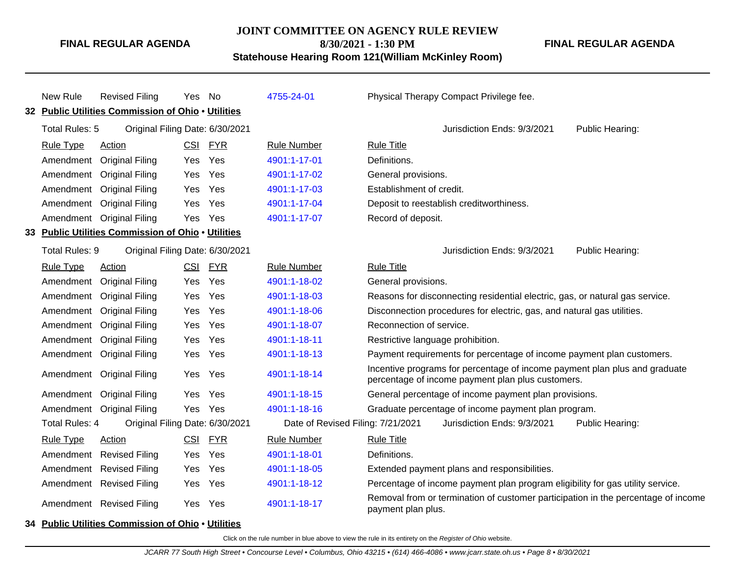**JOINT COMMITTEE ON AGENCY RULE REVIEW**

**FINAL REGULAR AGENDA**

**8/30/2021 - 1:30 PM Statehouse Hearing Room 121(William McKinley Room)**

| New Rule                                           | <b>Revised Filing</b>                              | Yes                               | No                                             | 4755-24-01         | Physical Therapy Compact Privilege fee.                                                                                         |
|----------------------------------------------------|----------------------------------------------------|-----------------------------------|------------------------------------------------|--------------------|---------------------------------------------------------------------------------------------------------------------------------|
| 32 Public Utilities Commission of Ohio . Utilities |                                                    |                                   |                                                |                    |                                                                                                                                 |
| Total Rules: 5                                     | Original Filing Date: 6/30/2021                    |                                   |                                                |                    | Jurisdiction Ends: 9/3/2021<br>Public Hearing:                                                                                  |
| <b>Rule Type</b>                                   | <b>Action</b>                                      | CSI                               | <b>FYR</b>                                     | <b>Rule Number</b> | <b>Rule Title</b>                                                                                                               |
|                                                    | Amendment Original Filing                          | Yes                               | Yes                                            | 4901:1-17-01       | Definitions.                                                                                                                    |
| Amendment                                          | <b>Original Filing</b>                             | Yes                               | Yes                                            | 4901:1-17-02       | General provisions.                                                                                                             |
|                                                    | Amendment Original Filing                          | Yes                               | Yes                                            | 4901:1-17-03       | Establishment of credit.                                                                                                        |
|                                                    | Amendment Original Filing                          | Yes                               | Yes                                            | 4901:1-17-04       | Deposit to reestablish creditworthiness.                                                                                        |
|                                                    | Amendment Original Filing                          | Yes                               | Yes                                            | 4901:1-17-07       | Record of deposit.                                                                                                              |
|                                                    | 33 Public Utilities Commission of Ohio . Utilities |                                   |                                                |                    |                                                                                                                                 |
| Total Rules: 9                                     | Original Filing Date: 6/30/2021                    |                                   |                                                |                    | Jurisdiction Ends: 9/3/2021<br>Public Hearing:                                                                                  |
| <b>Rule Type</b>                                   | <b>Action</b>                                      | CSI                               | <b>FYR</b>                                     | <b>Rule Number</b> | <b>Rule Title</b>                                                                                                               |
| Amendment                                          | <b>Original Filing</b>                             | Yes                               | Yes                                            | 4901:1-18-02       | General provisions.                                                                                                             |
|                                                    | Amendment Original Filing                          | Yes                               | Yes                                            | 4901:1-18-03       | Reasons for disconnecting residential electric, gas, or natural gas service.                                                    |
| Amendment                                          | <b>Original Filing</b>                             | Yes                               | Yes                                            | 4901:1-18-06       | Disconnection procedures for electric, gas, and natural gas utilities.                                                          |
|                                                    | Amendment Original Filing                          | Yes                               | Yes                                            | 4901:1-18-07       | Reconnection of service.                                                                                                        |
|                                                    | Amendment Original Filing                          | Yes                               | Yes                                            | 4901:1-18-11       | Restrictive language prohibition.                                                                                               |
|                                                    | Amendment Original Filing                          | Yes                               | Yes                                            | 4901:1-18-13       | Payment requirements for percentage of income payment plan customers.                                                           |
|                                                    | Amendment Original Filing                          | Yes                               | Yes                                            | 4901:1-18-14       | Incentive programs for percentage of income payment plan plus and graduate<br>percentage of income payment plan plus customers. |
|                                                    | Amendment Original Filing                          | Yes                               | Yes                                            | 4901:1-18-15       | General percentage of income payment plan provisions.                                                                           |
|                                                    | Amendment Original Filing                          | Yes                               | Yes                                            | 4901:1-18-16       | Graduate percentage of income payment plan program.                                                                             |
| Total Rules: 4<br>Original Filing Date: 6/30/2021  |                                                    | Date of Revised Filing: 7/21/2021 | Jurisdiction Ends: 9/3/2021<br>Public Hearing: |                    |                                                                                                                                 |
| <b>Rule Type</b>                                   | <b>Action</b>                                      | CSI                               | <b>FYR</b>                                     | <b>Rule Number</b> | <b>Rule Title</b>                                                                                                               |
| Amendment                                          | <b>Revised Filing</b>                              | Yes                               | Yes                                            | 4901:1-18-01       | Definitions.                                                                                                                    |
|                                                    | Amendment Revised Filing                           | Yes                               | Yes                                            | 4901:1-18-05       | Extended payment plans and responsibilities.                                                                                    |
|                                                    | Amendment Revised Filing                           | Yes                               | Yes                                            | 4901:1-18-12       | Percentage of income payment plan program eligibility for gas utility service.                                                  |
|                                                    | Amendment Revised Filing                           | Yes                               | Yes                                            | 4901:1-18-17       | Removal from or termination of customer participation in the percentage of income<br>payment plan plus.                         |
|                                                    | 34 Public Utilities Commission of Ohio . Utilities |                                   |                                                |                    |                                                                                                                                 |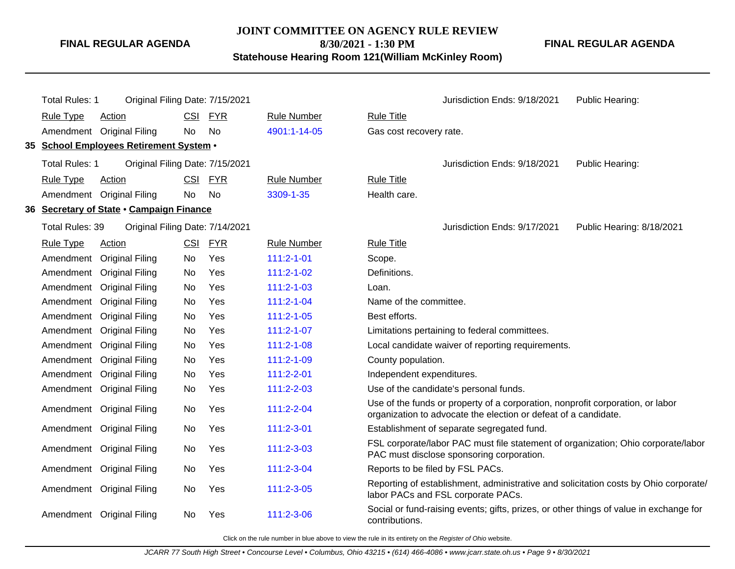### **JOINT COMMITTEE ON AGENCY RULE REVIEW**

**FINAL REGULAR AGENDA**

**8/30/2021 - 1:30 PM**

**Statehouse Hearing Room 121(William McKinley Room)**

**FINAL REGULAR AGENDA**

| <b>Total Rules: 1</b> | Original Filing Date: 7/15/2021          |           |            |                    | Jurisdiction Ends: 9/18/2021<br>Public Hearing:                                                                                                   |  |
|-----------------------|------------------------------------------|-----------|------------|--------------------|---------------------------------------------------------------------------------------------------------------------------------------------------|--|
| <b>Rule Type</b>      | <b>Action</b>                            |           | CSI FYR    | <b>Rule Number</b> | <b>Rule Title</b>                                                                                                                                 |  |
|                       | Amendment Original Filing                | No        | No         | 4901:1-14-05       | Gas cost recovery rate.                                                                                                                           |  |
|                       | 35 School Employees Retirement System .  |           |            |                    |                                                                                                                                                   |  |
| <b>Total Rules: 1</b> | Original Filing Date: 7/15/2021          |           |            |                    | Jurisdiction Ends: 9/18/2021<br>Public Hearing:                                                                                                   |  |
| <b>Rule Type</b>      | <b>Action</b>                            |           | CSI FYR    | <b>Rule Number</b> | <b>Rule Title</b>                                                                                                                                 |  |
|                       | Amendment Original Filing                | <b>No</b> | <b>No</b>  | 3309-1-35          | Health care.                                                                                                                                      |  |
|                       | 36 Secretary of State . Campaign Finance |           |            |                    |                                                                                                                                                   |  |
| Total Rules: 39       | Original Filing Date: 7/14/2021          |           |            |                    | Jurisdiction Ends: 9/17/2021<br>Public Hearing: 8/18/2021                                                                                         |  |
| <b>Rule Type</b>      | <b>Action</b>                            |           | CSI FYR    | <b>Rule Number</b> | <b>Rule Title</b>                                                                                                                                 |  |
|                       | Amendment Original Filing                | No        | Yes        | $111:2 - 1 - 01$   | Scope.                                                                                                                                            |  |
|                       | Amendment Original Filing                | No        | Yes        | $111:2 - 1 - 02$   | Definitions.                                                                                                                                      |  |
| Amendment             | <b>Original Filing</b>                   | No        | Yes        | $111:2 - 1 - 03$   | Loan.                                                                                                                                             |  |
| Amendment             | <b>Original Filing</b>                   | No.       | Yes        | $111:2 - 1 - 04$   | Name of the committee.                                                                                                                            |  |
| Amendment             | <b>Original Filing</b>                   | No        | Yes        | $111:2 - 1 - 05$   | Best efforts.                                                                                                                                     |  |
|                       | Amendment Original Filing                | No        | Yes        | $111:2 - 1 - 07$   | Limitations pertaining to federal committees.                                                                                                     |  |
| Amendment             | <b>Original Filing</b>                   | No        | Yes        | $111:2 - 1 - 08$   | Local candidate waiver of reporting requirements.                                                                                                 |  |
| Amendment             | <b>Original Filing</b>                   | No.       | Yes        | 111:2-1-09         | County population.                                                                                                                                |  |
|                       | Amendment Original Filing                | No        | <b>Yes</b> | 111:2-2-01         | Independent expenditures.                                                                                                                         |  |
|                       | Amendment Original Filing                | No        | Yes        | 111:2-2-03         | Use of the candidate's personal funds.                                                                                                            |  |
|                       | Amendment Original Filing                | No        | Yes        | 111:2-2-04         | Use of the funds or property of a corporation, nonprofit corporation, or labor<br>organization to advocate the election or defeat of a candidate. |  |
|                       | Amendment Original Filing                | No        | Yes        | 111:2-3-01         | Establishment of separate segregated fund.                                                                                                        |  |
|                       | Amendment Original Filing                | No.       | Yes        | 111:2-3-03         | FSL corporate/labor PAC must file statement of organization; Ohio corporate/labor<br>PAC must disclose sponsoring corporation.                    |  |
|                       | Amendment Original Filing                | No        | Yes        | 111:2-3-04         | Reports to be filed by FSL PACs.                                                                                                                  |  |
|                       | Amendment Original Filing                | No        | Yes        | 111:2-3-05         | Reporting of establishment, administrative and solicitation costs by Ohio corporate/<br>labor PACs and FSL corporate PACs.                        |  |
|                       | Amendment Original Filing                | No.       | Yes        | 111:2-3-06         | Social or fund-raising events; gifts, prizes, or other things of value in exchange for<br>contributions.                                          |  |
|                       |                                          |           |            |                    |                                                                                                                                                   |  |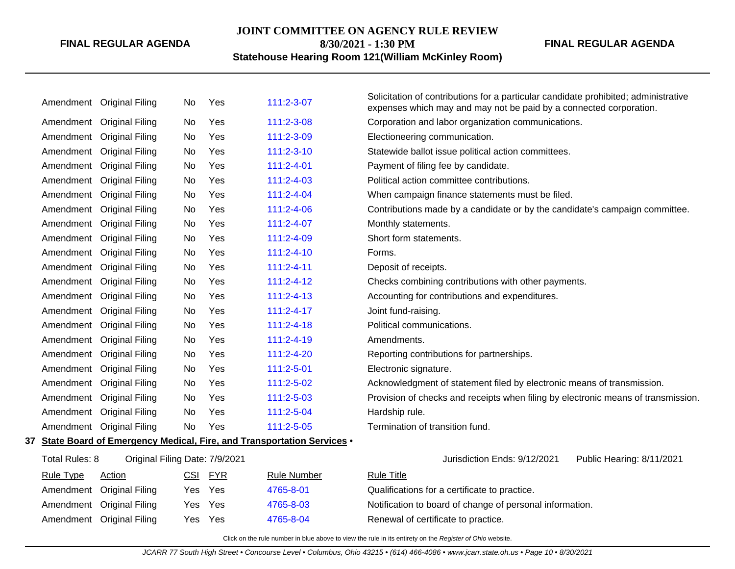### **JOINT COMMITTEE ON AGENCY RULE REVIEW**

**8/30/2021 - 1:30 PM**

# **Statehouse Hearing Room 121(William McKinley Room)**

|                                                                                                                                 |                  | Amendment Original Filing | No  | Yes        | 111:2-3-07         | Solicitation of contributions for a particular candidate prohibited; administrative<br>expenses which may and may not be paid by a connected corporation. |                           |
|---------------------------------------------------------------------------------------------------------------------------------|------------------|---------------------------|-----|------------|--------------------|-----------------------------------------------------------------------------------------------------------------------------------------------------------|---------------------------|
|                                                                                                                                 | Amendment        | <b>Original Filing</b>    | No  | Yes        | 111:2-3-08         | Corporation and labor organization communications.                                                                                                        |                           |
|                                                                                                                                 | Amendment        | <b>Original Filing</b>    | No. | Yes        | 111:2-3-09         | Electioneering communication.                                                                                                                             |                           |
|                                                                                                                                 | Amendment        | <b>Original Filing</b>    | No  | Yes        | 111:2-3-10         | Statewide ballot issue political action committees.                                                                                                       |                           |
|                                                                                                                                 | Amendment        | <b>Original Filing</b>    | No  | Yes        | $111:2 - 4 - 01$   | Payment of filing fee by candidate.                                                                                                                       |                           |
|                                                                                                                                 | Amendment        | <b>Original Filing</b>    | No  | Yes        | 111:2-4-03         | Political action committee contributions.                                                                                                                 |                           |
|                                                                                                                                 | Amendment        | <b>Original Filing</b>    | No  | Yes        | 111:2-4-04         | When campaign finance statements must be filed.                                                                                                           |                           |
|                                                                                                                                 | Amendment        | <b>Original Filing</b>    | No  | Yes        | 111:2-4-06         | Contributions made by a candidate or by the candidate's campaign committee.                                                                               |                           |
|                                                                                                                                 | Amendment        | <b>Original Filing</b>    | No  | Yes        | $111:2 - 4 - 07$   | Monthly statements.                                                                                                                                       |                           |
|                                                                                                                                 | Amendment        | <b>Original Filing</b>    | No  | Yes        | 111:2-4-09         | Short form statements.                                                                                                                                    |                           |
|                                                                                                                                 | Amendment        | <b>Original Filing</b>    | No  | Yes        | $111:2 - 4 - 10$   | Forms.                                                                                                                                                    |                           |
|                                                                                                                                 | Amendment        | <b>Original Filing</b>    | No  | Yes        | $111:2 - 4 - 11$   | Deposit of receipts.                                                                                                                                      |                           |
|                                                                                                                                 | Amendment        | <b>Original Filing</b>    | No  | Yes        | 111:2-4-12         | Checks combining contributions with other payments.                                                                                                       |                           |
|                                                                                                                                 | Amendment        | <b>Original Filing</b>    | No  | Yes        | $111:2 - 4 - 13$   | Accounting for contributions and expenditures.                                                                                                            |                           |
|                                                                                                                                 | Amendment        | <b>Original Filing</b>    | No  | Yes        | $111:2 - 4 - 17$   | Joint fund-raising.                                                                                                                                       |                           |
|                                                                                                                                 | Amendment        | <b>Original Filing</b>    | No  | Yes        | $111:2 - 4 - 18$   | Political communications.                                                                                                                                 |                           |
|                                                                                                                                 | Amendment        | <b>Original Filing</b>    | No  | Yes        | 111:2-4-19         | Amendments.                                                                                                                                               |                           |
|                                                                                                                                 | Amendment        | <b>Original Filing</b>    | No  | Yes        | 111:2-4-20         | Reporting contributions for partnerships.                                                                                                                 |                           |
|                                                                                                                                 | Amendment        | <b>Original Filing</b>    | No  | Yes        | 111:2-5-01         | Electronic signature.                                                                                                                                     |                           |
|                                                                                                                                 | Amendment        | <b>Original Filing</b>    | No  | Yes        | 111:2-5-02         | Acknowledgment of statement filed by electronic means of transmission.                                                                                    |                           |
|                                                                                                                                 | Amendment        | <b>Original Filing</b>    | No. | Yes        | 111:2-5-03         | Provision of checks and receipts when filing by electronic means of transmission.                                                                         |                           |
|                                                                                                                                 | Amendment        | <b>Original Filing</b>    | No  | Yes        | 111:2-5-04         | Hardship rule.                                                                                                                                            |                           |
|                                                                                                                                 |                  | Amendment Original Filing | No  | Yes        | 111:2-5-05         | Termination of transition fund.                                                                                                                           |                           |
| State Board of Emergency Medical, Fire, and Transportation Services .<br>37<br>Total Rules: 8<br>Original Filing Date: 7/9/2021 |                  |                           |     |            |                    |                                                                                                                                                           |                           |
|                                                                                                                                 |                  |                           |     |            |                    | Jurisdiction Ends: 9/12/2021                                                                                                                              | Public Hearing: 8/11/2021 |
|                                                                                                                                 | <b>Rule Type</b> | Action                    | CSI | <b>FYR</b> | <b>Rule Number</b> | <b>Rule Title</b>                                                                                                                                         |                           |
|                                                                                                                                 |                  | Amendment Original Filing | Yes | Yes        | 4765-8-01          | Qualifications for a certificate to practice.                                                                                                             |                           |
|                                                                                                                                 |                  |                           |     |            |                    |                                                                                                                                                           |                           |

Amendment Original Filing Yes Yes [4765-8-03](http://www.registerofohio.state.oh.us/jsps/publicdisplayrules/processPublicDisplayRules.jsp?entered_rule_no=4765-8-03&doWhat=GETBYRULENUM&raID=0) Notification to board of change of personal information.

Amendment Original Filing Yes Yes [4765-8-04](http://www.registerofohio.state.oh.us/jsps/publicdisplayrules/processPublicDisplayRules.jsp?entered_rule_no=4765-8-04&doWhat=GETBYRULENUM&raID=0) Renewal of certificate to practice.

Click on the rule number in blue above to view the rule in its entirety on the Register of Ohio website.

JCARR 77 South High Street • Concourse Level • Columbus, Ohio 43215 • (614) 466-4086 • www.jcarr.state.oh.us • Page 10 • 8/30/2021

**FINAL REGULAR AGENDA**